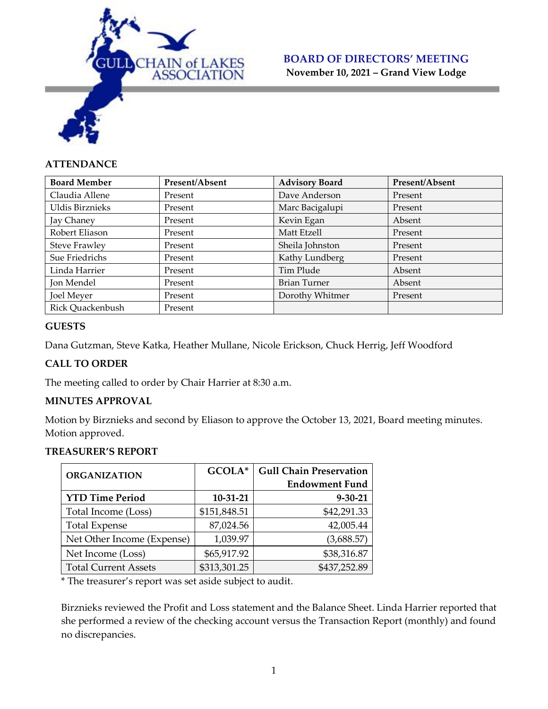

#### **ATTENDANCE**

| <b>Board Member</b>    | Present/Absent | <b>Advisory Board</b> | Present/Absent |
|------------------------|----------------|-----------------------|----------------|
| Claudia Allene         | Present        | Dave Anderson         | Present        |
| <b>Uldis Birznieks</b> | Present        | Marc Bacigalupi       | Present        |
| Jay Chaney             | Present        | Kevin Egan            | Absent         |
| Robert Eliason         | Present        | Matt Etzell           | Present        |
| <b>Steve Frawley</b>   | Present        | Sheila Johnston       | Present        |
| Sue Friedrichs         | Present        | Kathy Lundberg        | Present        |
| Linda Harrier          | Present        | Tim Plude             | Absent         |
| Jon Mendel             | Present        | <b>Brian Turner</b>   | Absent         |
| <b>Joel Meyer</b>      | Present        | Dorothy Whitmer       | Present        |
| Rick Quackenbush       | Present        |                       |                |

#### **GUESTS**

Dana Gutzman, Steve Katka, Heather Mullane, Nicole Erickson, Chuck Herrig, Jeff Woodford

#### **CALL TO ORDER**

The meeting called to order by Chair Harrier at 8:30 a.m.

#### **MINUTES APPROVAL**

Motion by Birznieks and second by Eliason to approve the October 13, 2021, Board meeting minutes. Motion approved.

#### **TREASURER'S REPORT**

| <b>ORGANIZATION</b>         | GCOLA*       | <b>Gull Chain Preservation</b> |  |
|-----------------------------|--------------|--------------------------------|--|
|                             |              | <b>Endowment Fund</b>          |  |
| <b>YTD Time Period</b>      | $10-31-21$   | $9 - 30 - 21$                  |  |
| Total Income (Loss)         | \$151,848.51 | \$42,291.33                    |  |
| <b>Total Expense</b>        | 87,024.56    | 42,005.44                      |  |
| Net Other Income (Expense)  | 1,039.97     | (3,688.57)                     |  |
| Net Income (Loss)           | \$65,917.92  | \$38,316.87                    |  |
| <b>Total Current Assets</b> | \$313,301.25 | \$437,252.89                   |  |

\* The treasurer's report was set aside subject to audit.

Birznieks reviewed the Profit and Loss statement and the Balance Sheet. Linda Harrier reported that she performed a review of the checking account versus the Transaction Report (monthly) and found no discrepancies.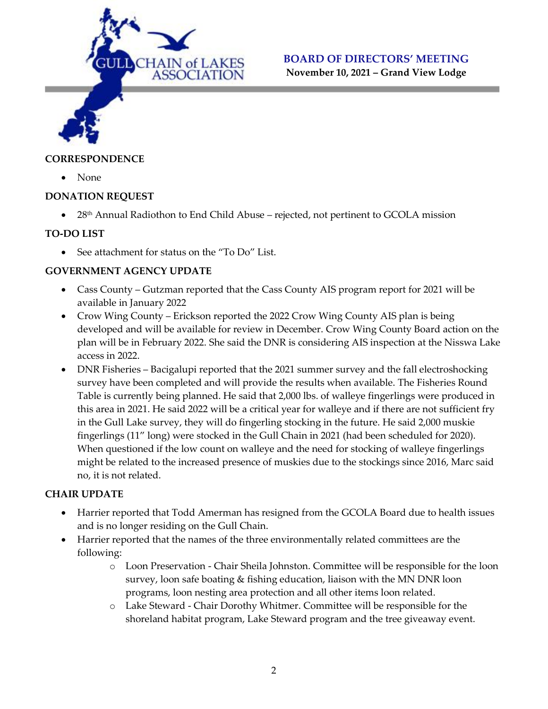

# **BOARD OF DIRECTORS' MEETING**

**November 10, 2021 – Grand View Lodge**

#### **CORRESPONDENCE**

• None

#### **DONATION REQUEST**

• 28<sup>th</sup> Annual Radiothon to End Child Abuse – rejected, not pertinent to GCOLA mission

#### **TO-DO LIST**

• See attachment for status on the "To Do" List.

#### **GOVERNMENT AGENCY UPDATE**

- Cass County Gutzman reported that the Cass County AIS program report for 2021 will be available in January 2022
- Crow Wing County Erickson reported the 2022 Crow Wing County AIS plan is being developed and will be available for review in December. Crow Wing County Board action on the plan will be in February 2022. She said the DNR is considering AIS inspection at the Nisswa Lake access in 2022.
- DNR Fisheries Bacigalupi reported that the 2021 summer survey and the fall electroshocking survey have been completed and will provide the results when available. The Fisheries Round Table is currently being planned. He said that 2,000 lbs. of walleye fingerlings were produced in this area in 2021. He said 2022 will be a critical year for walleye and if there are not sufficient fry in the Gull Lake survey, they will do fingerling stocking in the future. He said 2,000 muskie fingerlings (11" long) were stocked in the Gull Chain in 2021 (had been scheduled for 2020). When questioned if the low count on walleye and the need for stocking of walleye fingerlings might be related to the increased presence of muskies due to the stockings since 2016, Marc said no, it is not related.

#### **CHAIR UPDATE**

- Harrier reported that Todd Amerman has resigned from the GCOLA Board due to health issues and is no longer residing on the Gull Chain.
- Harrier reported that the names of the three environmentally related committees are the following:
	- o Loon Preservation Chair Sheila Johnston. Committee will be responsible for the loon survey, loon safe boating & fishing education, liaison with the MN DNR loon programs, loon nesting area protection and all other items loon related.
	- o Lake Steward Chair Dorothy Whitmer. Committee will be responsible for the shoreland habitat program, Lake Steward program and the tree giveaway event.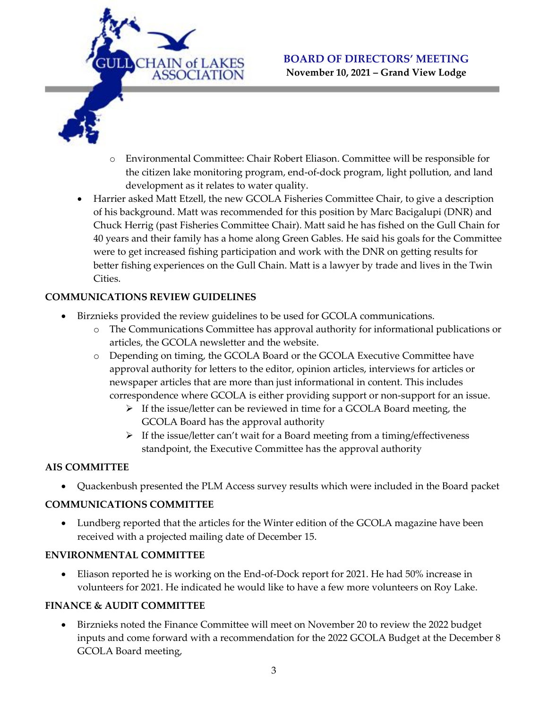

- o Environmental Committee: Chair Robert Eliason. Committee will be responsible for the citizen lake monitoring program, end-of-dock program, light pollution, and land development as it relates to water quality.
- Harrier asked Matt Etzell, the new GCOLA Fisheries Committee Chair, to give a description of his background. Matt was recommended for this position by Marc Bacigalupi (DNR) and Chuck Herrig (past Fisheries Committee Chair). Matt said he has fished on the Gull Chain for 40 years and their family has a home along Green Gables. He said his goals for the Committee were to get increased fishing participation and work with the DNR on getting results for better fishing experiences on the Gull Chain. Matt is a lawyer by trade and lives in the Twin Cities.

## **COMMUNICATIONS REVIEW GUIDELINES**

- Birznieks provided the review guidelines to be used for GCOLA communications.
	- o The Communications Committee has approval authority for informational publications or articles, the GCOLA newsletter and the website.
	- o Depending on timing, the GCOLA Board or the GCOLA Executive Committee have approval authority for letters to the editor, opinion articles, interviews for articles or newspaper articles that are more than just informational in content. This includes correspondence where GCOLA is either providing support or non-support for an issue.
		- ➢ If the issue/letter can be reviewed in time for a GCOLA Board meeting, the GCOLA Board has the approval authority
		- $\triangleright$  If the issue/letter can't wait for a Board meeting from a timing/effectiveness standpoint, the Executive Committee has the approval authority

## **AIS COMMITTEE**

• Quackenbush presented the PLM Access survey results which were included in the Board packet

## **COMMUNICATIONS COMMITTEE**

• Lundberg reported that the articles for the Winter edition of the GCOLA magazine have been received with a projected mailing date of December 15.

## **ENVIRONMENTAL COMMITTEE**

• Eliason reported he is working on the End-of-Dock report for 2021. He had 50% increase in volunteers for 2021. He indicated he would like to have a few more volunteers on Roy Lake.

## **FINANCE & AUDIT COMMITTEE**

• Birznieks noted the Finance Committee will meet on November 20 to review the 2022 budget inputs and come forward with a recommendation for the 2022 GCOLA Budget at the December 8 GCOLA Board meeting,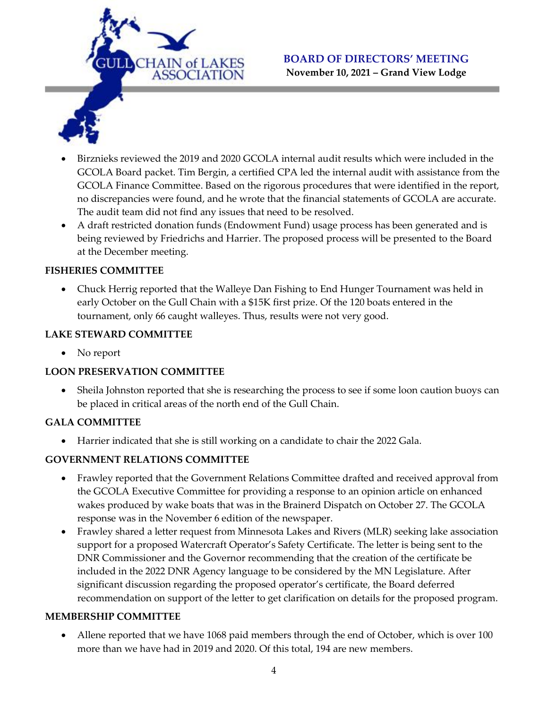



- Birznieks reviewed the 2019 and 2020 GCOLA internal audit results which were included in the GCOLA Board packet. Tim Bergin, a certified CPA led the internal audit with assistance from the GCOLA Finance Committee. Based on the rigorous procedures that were identified in the report, no discrepancies were found, and he wrote that the financial statements of GCOLA are accurate. The audit team did not find any issues that need to be resolved.
- A draft restricted donation funds (Endowment Fund) usage process has been generated and is being reviewed by Friedrichs and Harrier. The proposed process will be presented to the Board at the December meeting.

#### **FISHERIES COMMITTEE**

• Chuck Herrig reported that the Walleye Dan Fishing to End Hunger Tournament was held in early October on the Gull Chain with a \$15K first prize. Of the 120 boats entered in the tournament, only 66 caught walleyes. Thus, results were not very good.

#### **LAKE STEWARD COMMITTEE**

• No report

## **LOON PRESERVATION COMMITTEE**

• Sheila Johnston reported that she is researching the process to see if some loon caution buoys can be placed in critical areas of the north end of the Gull Chain.

## **GALA COMMITTEE**

• Harrier indicated that she is still working on a candidate to chair the 2022 Gala.

## **GOVERNMENT RELATIONS COMMITTEE**

- Frawley reported that the Government Relations Committee drafted and received approval from the GCOLA Executive Committee for providing a response to an opinion article on enhanced wakes produced by wake boats that was in the Brainerd Dispatch on October 27. The GCOLA response was in the November 6 edition of the newspaper.
- Frawley shared a letter request from Minnesota Lakes and Rivers (MLR) seeking lake association support for a proposed Watercraft Operator's Safety Certificate. The letter is being sent to the DNR Commissioner and the Governor recommending that the creation of the certificate be included in the 2022 DNR Agency language to be considered by the MN Legislature. After significant discussion regarding the proposed operator's certificate, the Board deferred recommendation on support of the letter to get clarification on details for the proposed program.

#### **MEMBERSHIP COMMITTEE**

• Allene reported that we have 1068 paid members through the end of October, which is over 100 more than we have had in 2019 and 2020. Of this total, 194 are new members.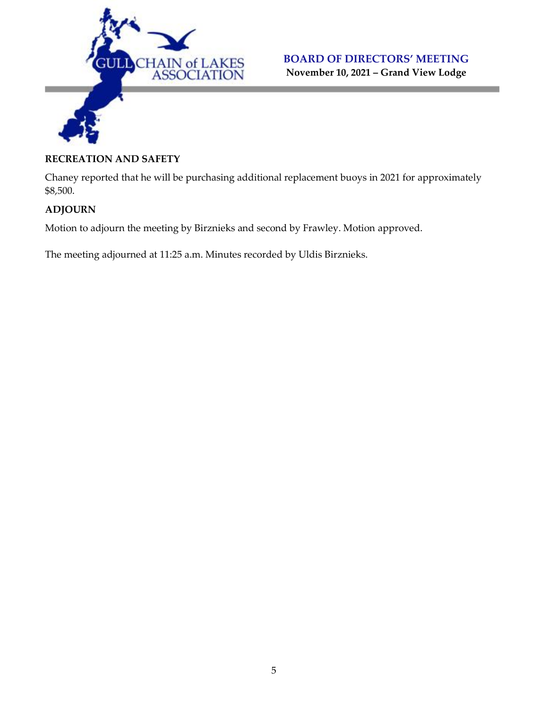

#### **RECREATION AND SAFETY**

Chaney reported that he will be purchasing additional replacement buoys in 2021 for approximately \$8,500.

## **ADJOURN**

Motion to adjourn the meeting by Birznieks and second by Frawley. Motion approved.

The meeting adjourned at 11:25 a.m. Minutes recorded by Uldis Birznieks.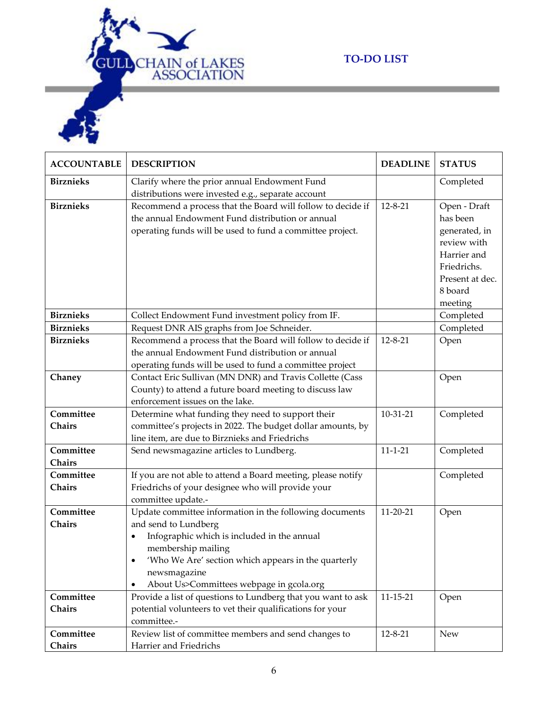

# **TO-DO LIST**

| <b>ACCOUNTABLE</b> | <b>DESCRIPTION</b>                                               | <b>DEADLINE</b> | <b>STATUS</b>   |
|--------------------|------------------------------------------------------------------|-----------------|-----------------|
| <b>Birznieks</b>   | Clarify where the prior annual Endowment Fund                    |                 | Completed       |
|                    | distributions were invested e.g., separate account               |                 |                 |
| <b>Birznieks</b>   | Recommend a process that the Board will follow to decide if      | $12 - 8 - 21$   | Open - Draft    |
|                    | the annual Endowment Fund distribution or annual                 |                 | has been        |
|                    | operating funds will be used to fund a committee project.        |                 | generated, in   |
|                    |                                                                  |                 | review with     |
|                    |                                                                  |                 | Harrier and     |
|                    |                                                                  |                 | Friedrichs.     |
|                    |                                                                  |                 | Present at dec. |
|                    |                                                                  |                 | 8 board         |
|                    |                                                                  |                 | meeting         |
| <b>Birznieks</b>   | Collect Endowment Fund investment policy from IF.                |                 | Completed       |
| <b>Birznieks</b>   | Request DNR AIS graphs from Joe Schneider.                       |                 | Completed       |
| <b>Birznieks</b>   | Recommend a process that the Board will follow to decide if      | $12 - 8 - 21$   | Open            |
|                    | the annual Endowment Fund distribution or annual                 |                 |                 |
|                    | operating funds will be used to fund a committee project         |                 |                 |
| Chaney             | Contact Eric Sullivan (MN DNR) and Travis Collette (Cass         |                 | Open            |
|                    | County) to attend a future board meeting to discuss law          |                 |                 |
|                    | enforcement issues on the lake.                                  |                 |                 |
| Committee          | Determine what funding they need to support their                | 10-31-21        | Completed       |
| Chairs             | committee's projects in 2022. The budget dollar amounts, by      |                 |                 |
|                    | line item, are due to Birznieks and Friedrichs                   |                 |                 |
| Committee          | Send newsmagazine articles to Lundberg.                          | $11 - 1 - 21$   | Completed       |
| Chairs             |                                                                  |                 |                 |
| Committee          | If you are not able to attend a Board meeting, please notify     |                 | Completed       |
| Chairs             | Friedrichs of your designee who will provide your                |                 |                 |
|                    | committee update.-                                               |                 |                 |
| Committee          | Update committee information in the following documents          | $11 - 20 - 21$  | Open            |
| Chairs             | and send to Lundberg                                             |                 |                 |
|                    | Infographic which is included in the annual                      |                 |                 |
|                    | membership mailing                                               |                 |                 |
|                    | 'Who We Are' section which appears in the quarterly<br>$\bullet$ |                 |                 |
|                    | newsmagazine                                                     |                 |                 |
|                    | About Us>Committees webpage in gcola.org                         |                 |                 |
| Committee          | Provide a list of questions to Lundberg that you want to ask     | $11 - 15 - 21$  | Open            |
| Chairs             | potential volunteers to vet their qualifications for your        |                 |                 |
|                    | committee.-                                                      |                 |                 |
| Committee          | Review list of committee members and send changes to             | $12 - 8 - 21$   | <b>New</b>      |
| Chairs             | Harrier and Friedrichs                                           |                 |                 |